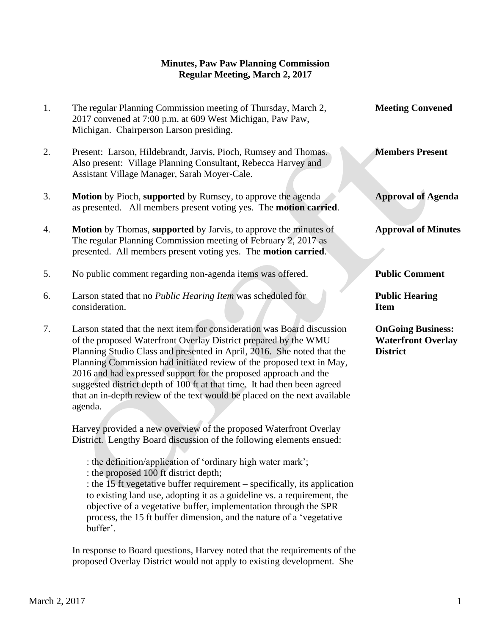## **Minutes, Paw Paw Planning Commission Regular Meeting, March 2, 2017**

- 1. The regular Planning Commission meeting of Thursday, March 2, **Meeting Convened** 2017 convened at 7:00 p.m. at 609 West Michigan, Paw Paw, Michigan. Chairperson Larson presiding. 2. Present: Larson, Hildebrandt, Jarvis, Pioch, Rumsey and Thomas. **Members Present** Also present: Village Planning Consultant, Rebecca Harvey and
- 3. **Motion** by Pioch, **supported** by Rumsey, to approve the agenda **Approval of Agenda** as presented. All members present voting yes. The **motion carried**.
- 4. **Motion** by Thomas, **supported** by Jarvis, to approve the minutes of **Approval of Minutes** The regular Planning Commission meeting of February 2, 2017 as presented. All members present voting yes. The **motion carried**.
- 5. No public comment regarding non-agenda items was offered. **Public Comment**

Assistant Village Manager, Sarah Moyer-Cale.

- 6. Larson stated that no *Public Hearing Item* was scheduled for **Public Hearing** consideration. **Item**
- 7. Larson stated that the next item for consideration was Board discussion **OnGoing Business:** of the proposed Waterfront Overlay District prepared by the WMU **Waterfront Overlay** Planning Studio Class and presented in April, 2016. She noted that the **District** Planning Commission had initiated review of the proposed text in May, 2016 and had expressed support for the proposed approach and the suggested district depth of 100 ft at that time. It had then been agreed that an in-depth review of the text would be placed on the next available agenda.

 Harvey provided a new overview of the proposed Waterfront Overlay District. Lengthy Board discussion of the following elements ensued:

: the definition/application of 'ordinary high water mark';

: the proposed 100 ft district depth;

: the 15 ft vegetative buffer requirement – specifically, its application to existing land use, adopting it as a guideline vs. a requirement, the objective of a vegetative buffer, implementation through the SPR process, the 15 ft buffer dimension, and the nature of a 'vegetative buffer'.

 In response to Board questions, Harvey noted that the requirements of the proposed Overlay District would not apply to existing development. She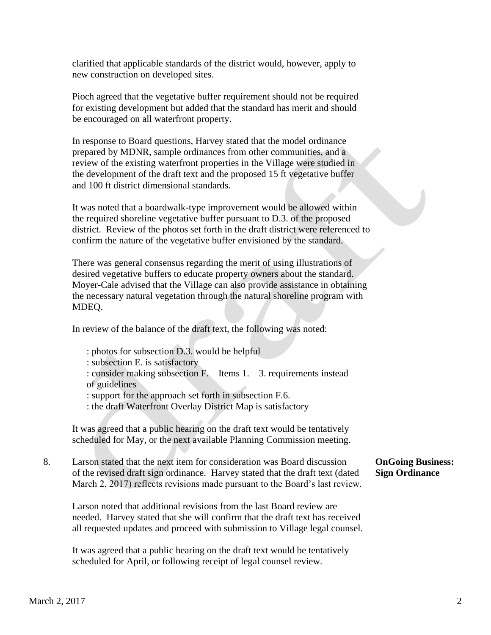clarified that applicable standards of the district would, however, apply to new construction on developed sites.

 Pioch agreed that the vegetative buffer requirement should not be required for existing development but added that the standard has merit and should be encouraged on all waterfront property.

 In response to Board questions, Harvey stated that the model ordinance prepared by MDNR, sample ordinances from other communities, and a review of the existing waterfront properties in the Village were studied in the development of the draft text and the proposed 15 ft vegetative buffer and 100 ft district dimensional standards.

 It was noted that a boardwalk-type improvement would be allowed within the required shoreline vegetative buffer pursuant to D.3. of the proposed district. Review of the photos set forth in the draft district were referenced to confirm the nature of the vegetative buffer envisioned by the standard.

 There was general consensus regarding the merit of using illustrations of desired vegetative buffers to educate property owners about the standard. Moyer-Cale advised that the Village can also provide assistance in obtaining the necessary natural vegetation through the natural shoreline program with MDEQ.

In review of the balance of the draft text, the following was noted:

: photos for subsection D.3. would be helpful

: subsection E. is satisfactory

: consider making subsection F. – Items 1. – 3. requirements instead of guidelines

: support for the approach set forth in subsection F.6.

: the draft Waterfront Overlay District Map is satisfactory

It was agreed that a public hearing on the draft text would be tentatively scheduled for May, or the next available Planning Commission meeting.

8. Larson stated that the next item for consideration was Board discussion **OnGoing Business:** of the revised draft sign ordinance. Harvey stated that the draft text (dated **Sign Ordinance** March 2, 2017) reflects revisions made pursuant to the Board's last review.

Larson noted that additional revisions from the last Board review are needed. Harvey stated that she will confirm that the draft text has received all requested updates and proceed with submission to Village legal counsel.

It was agreed that a public hearing on the draft text would be tentatively scheduled for April, or following receipt of legal counsel review.